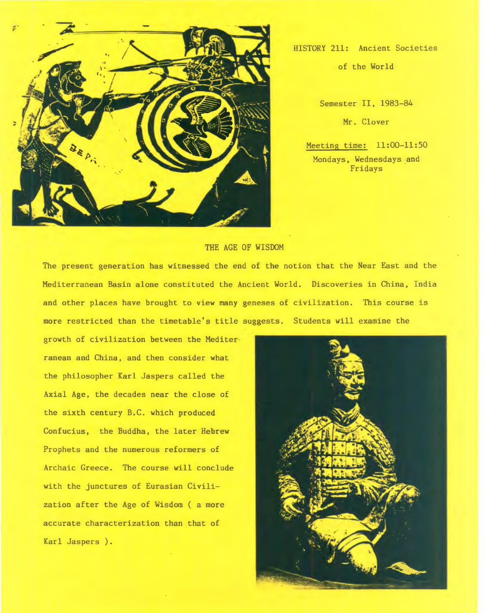

HISTORY 211: Ancient Societies

of the World

Semester II, 1983-84 Mr. Clover

Meeting time: 11:00-11:50 Mondays, Wednesdays and Fridays

## THE AGE OF WISDOM

The present generation has witnessed the end of the notion that the Near East and the Mediterranean Basin alone constituted the Ancient World. Discoveries in China, India and other places have brought to view many geneses of civilization. This course is more restricted than the timetable's title suggests. Students will examine the

growth of civilization between the Mediter ranean and China, and then consider what the philosopher Karl Jaspers called the Axial Age, the decades near the close of the sixth century B.C. which produced Confucius, the Buddha, the later Hebrew Prophets and the numerous reformers of Archaic Greece. The course will conclude with the junctures of Eurasian Civilization after the Age of Wisdom ( a more accurate characterization than that of Karl Jaspers ).

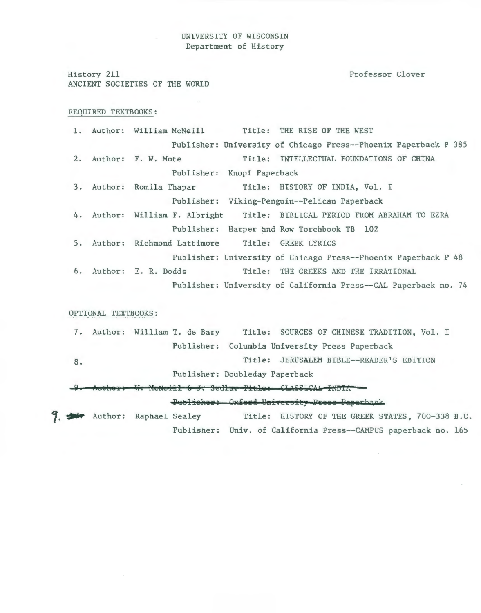## UNIVERSITY OF WISCONSIN Department of History

History 211 Professor Clover ANCIENT SOCIETIES OF THE WORLD REQUIRED TEXTBOOKS: 1. Author: William McNeill Title: THE RISE OF THE WEST Publisher: University of Chicago Press--Phoenix Paperback P 385 2. Author: F. W. Mote Title: INTELLECTUAL FOUNDATIONS OF CHINA Publisher: Knopf Paperback 3. Author: Romila Thapar Title: HISTORY OF INDIA, Vol. I Publisher: Viking-Penguin--Pelican Paperback 4. Author: William F. Albright Title: BIBLICAL PERIOD FROM ABRAHAM TO EZRA Publisher: Harper and Row Torchbook TB 102 5. Author: Richmond Lattimore Title: GREEK LYRICS Publisher: University of Chicago Press--Phoenix Paperback P 48 6. Author: E. R. Dodds Title: THE GREEKS AND THE IRRATIONAL Publisher: University of California Press--CAL Paperback no. 74 OPTIONAL TEXTBOOKS: 7. Author: William T. de Bary Title: SOURCES OF CHINESE TRADITION, Vol. I 8. Publisher: Columbia University Press Paperback Title: JERUSALEM BIBLE--READER'S EDITION Publisher: Doubleday Paperback \;! **fraldt8TI \1. HcNcill ti J.** ~edlat **Tidiil** ~U-a:H:Aia **IW5IA** -

**7. Publisher: Oxford University Pross Paperhack**<br>**7. Author:** Raphael Sealey Title: HISTOKY OF THE GREEK STATES, 700-338 B.C. Publisher: Univ. of California Press--CAMPUS paperback no. 165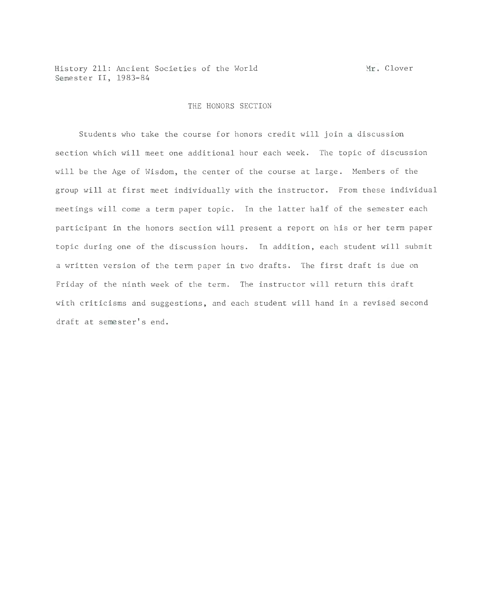History 211: Ancient Societies of the World Semester II, 1983-84

## THE HONORS SECTION

Students who take the course for honors credit will join a discussion section which will meet one additional hour each week. The topic of discussion will be the Age of Wisdom, the center of the course at large. Members of the group will at first meet individually with the instructor. From these individual meetings will come a term paper topic. In the latter half of the semester each participant in the honors section will present a report on his or her term paper topic during one of the discussion hours. In addition, each student will submit a written version of the term paper in two drafts. The first draft is due on Friday of the ninth week of the term. The instructor will return this draft with criticisms and suggestions, and each student will hand in a revised second draft at semester's end.